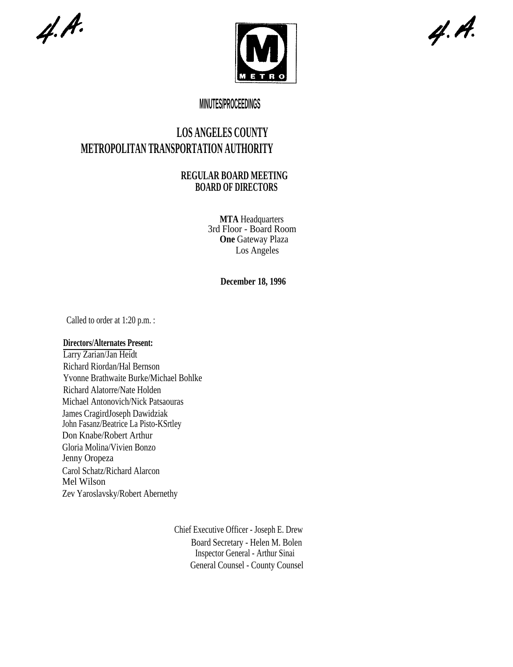$4. A.$ 



 $4. A.$ 

## **MINUTES/PROCEEDINGS**

# **LOS ANGELES COUNTY METROPOLITAN TRANSPORTATION AUTHORITY**

### **REGULAR BOARD MEETING BOARD OF DIRECTORS**

**MTA** Headquarters 3rd Floor - Board Room **One Gateway Plaza** Los Angeles

**December 18, 1996**

Called to order at 1:20 p.m. :

### **Directors/Alternates Present:**

Larry Zarian/Jan Heidt Richard Riordan/Hal Bernson Yvonne Brathwaite Burke/Michael Bohlke Richard Alatorre/Nate Holden Michael Antonovich/Nick Patsaouras James CragirdJoseph Dawidziak John Fasanz/Beatrice La Pisto-KSrtley Don Knabe/Robert Arthur Gloria Molina/Vivien Bonzo Jenny Oropeza Carol Schatz/Richard Alarcon Mel Wilson Zev Yaroslavsky/Robert Abernethy

> Chief Executive Officer - Joseph E. Drew Board Secretary - Helen M. Bolen Inspector General - Arthur Sinai General Counsel - County Counsel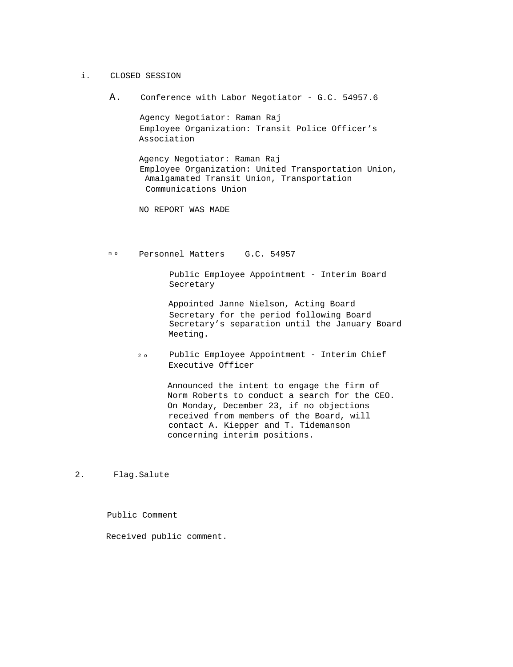- i. CLOSED SESSION
	- A. Conference with Labor Negotiator G.C. 54957.6

Agency Negotiator: Raman Raj Employee Organization: Transit Police Officer's Association

Agency Negotiator: Raman Raj Employee Organization: United Transportation Union, Amalgamated Transit Union, Transportation Communications Union

NO REPORT WAS MADE

mo Personnel Matters G.C. 54957

Public Employee Appointment - Interim Board Secretary

Appointed Janne Nielson, Acting Board Secretary for the period following Board Secretary's separation until the January Board Meeting.

2 o Public Employee Appointment - Interim Chief Executive Officer

> Announced the intent to engage the firm of Norm Roberts to conduct a search for the CEO. On Monday, December 23, if no objections received from members of the Board, will contact A. Kiepper and T. Tidemanson concerning interim positions.

2. Flag.Salute

Public Comment

Received public comment.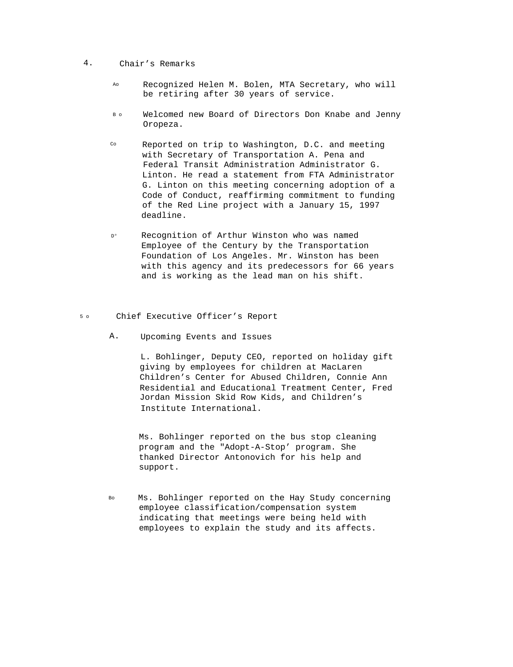#### 4. Chair's Remarks

- Ao Recognized Helen M. Bolen, MTA Secretary, who will be retiring after 30 years of service.
- B o Welcomed new Board of Directors Don Knabe and Jenny Oropeza.
- $CO$  Reported on trip to Washington, D.C. and meeting with Secretary of Transportation A. Pena and Federal Transit Administration Administrator G. Linton. He read a statement from FTA Administrator G. Linton on this meeting concerning adoption of a Code of Conduct, reaffirming commitment to funding of the Red Line project with a January 15, 1997 deadline.
- D° Recognition of Arthur Winston who was named Employee of the Century by the Transportation Foundation of Los Angeles. Mr. Winston has been with this agency and its predecessors for 66 years and is working as the lead man on his shift.
- 5 o Chief Executive Officer's Report
	- A. Upcoming Events and Issues

L. Bohlinger, Deputy CEO, reported on holiday gift giving by employees for children at MacLaren Children's Center for Abused Children, Connie Ann Residential and Educational Treatment Center, Fred Jordan Mission Skid Row Kids, and Children's Institute International.

Ms. Bohlinger reported on the bus stop cleaning program and the "Adopt-A-Stop' program. She thanked Director Antonovich for his help and support.

Bo Ms. Bohlinger reported on the Hay Study concerning employee classification/compensation system indicating that meetings were being held with employees to explain the study and its affects.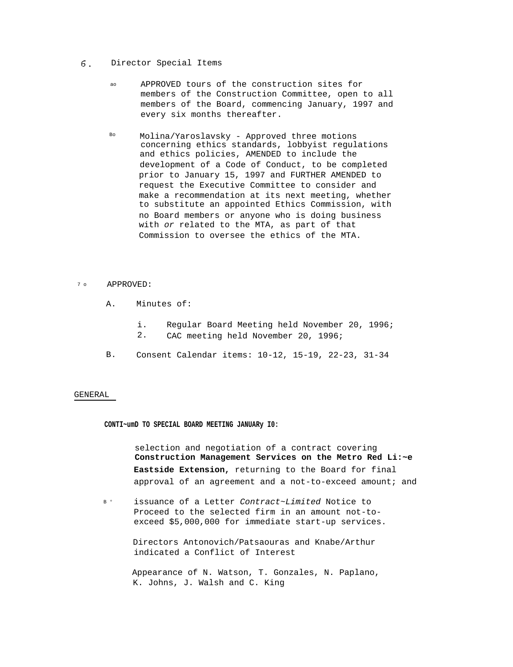#### 6. Director Special Items

- ao APPROVED tours of the construction sites for members of the Construction Committee, open to all members of the Board, commencing January, 1997 and every six months thereafter.
- Bo Molina/Yaroslavsky Approved three motions concerning ethics standards, lobbyist regulations and ethics policies, AMENDED to include the development of a Code of Conduct, to be completed prior to January 15, 1997 and FURTHER AMENDED to request the Executive Committee to consider and make a recommendation at its next meeting, whether to substitute an appointed Ethics Commission, with no Board members or anyone who is doing business with or related to the MTA, as part of that Commission to oversee the ethics of the MTA.

#### 7 o APPROVED:

- A. Minutes of:
	- i. Regular Board Meeting held November 20, 1996; 2. CAC meeting held November 20, 1996;
- B. Consent Calendar items: 10-12, 15-19, 22-23, 31-34

#### GENERAL

**CONTI~umD TO SPECIAL BOARD MEETING JANUARy I0:**

selection and negotiation of a contract covering **Construction Management Services on the Metro Red Li:~e Eastside Extension,** returning to the Board for final approval of an agreement and a not-to-exceed amount; and

 $R<sub>o</sub>$ issuance of a Letter Contract~Limited Notice to Proceed to the selected firm in an amount not-toexceed \$5,000,000 for immediate start-up services.

> Directors Antonovich/Patsaouras and Knabe/Arthur indicated a Conflict of Interest

Appearance of N. Watson, T. Gonzales, N. Paplano, K. Johns, J. Walsh and C. King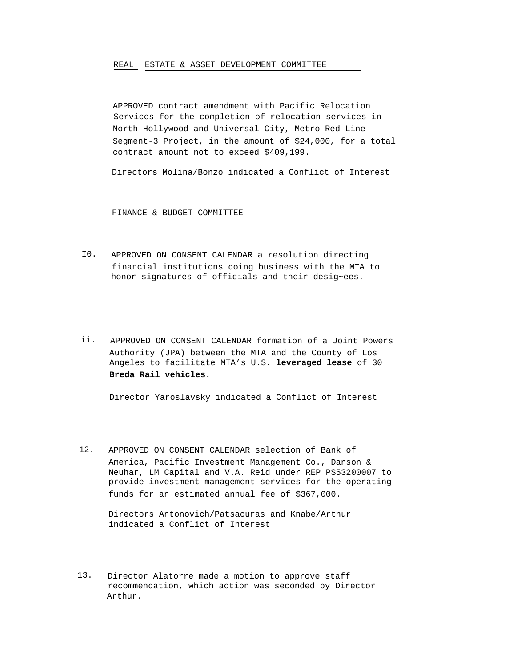#### REAL ESTATE & ASSET DEVELOPMENT COMMITTEE

APPROVED contract amendment with Pacific Relocation Services for the completion of relocation services in North Hollywood and Universal City, Metro Red Line Segment-3 Project, in the amount of \$24,000, for a total contract amount not to exceed \$409,199.

Directors Molina/Bonzo indicated a Conflict of Interest

FINANCE & BUDGET COMMITTEE

- I0. APPROVED ON CONSENT CALENDAR a resolution directing financial institutions doing business with the MTA to honor signatures of officials and their desig~ees.
- ii. APPROVED ON CONSENT CALENDAR formation of a Joint Powers Authority (JPA) between the MTA and the County of Los Angeles to facilitate MTA's U.S. **leveraged lease** of 30 **Breda Rail vehicles.**

Director Yaroslavsky indicated a Conflict of Interest

12. APPROVED ON CONSENT CALENDAR selection of Bank of America, Pacific Investment Management Co., Danson & Neuhar, LM Capital and V.A. Reid under REP PS53200007 to provide investment management services for the operating funds for an estimated annual fee of \$367,000.

Directors Antonovich/Patsaouras and Knabe/Arthur indicated a Conflict of Interest

13. Director Alatorre made a motion to approve staff recommendation, which aotion was seconded by Director Arthur.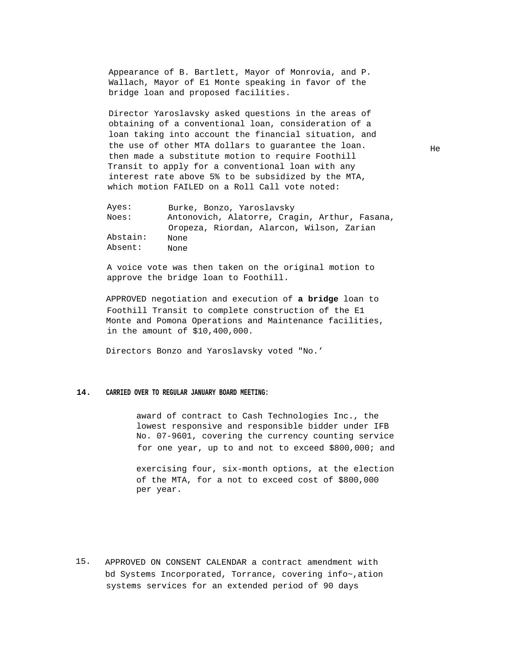Appearance of B. Bartlett, Mayor of Monrovia, and P. Wallach, Mayor of E1 Monte speaking in favor of the bridge loan and proposed facilities.

Director Yaroslavsky asked questions in the areas of obtaining of a conventional loan, consideration of a loan taking into account the financial situation, and the use of other MTA dollars to guarantee the loan. then made a substitute motion to require Foothill Transit to apply for a conventional loan with any interest rate above 5% to be subsidized by the MTA, which motion FAILED on a Roll Call vote noted:

Ayes: Noes: Abstain: Absent: Burke, Bonzo, Yaroslavsky Antonovich, Alatorre, Cragin, Arthur, Fasana, Oropeza, Riordan, Alarcon, Wilson, Zarian None None

A voice vote was then taken on the original motion to approve the bridge loan to Foothill.

APPROVED negotiation and execution of **a bridge** loan to Foothill Transit to complete construction of the E1 Monte and Pomona Operations and Maintenance facilities, in the amount of \$10,400,000.

Directors Bonzo and Yaroslavsky voted "No.'

#### **14. CARRIED OVER TO REGULAR JANUARY BOARD MEETING:**

award of contract to Cash Technologies Inc., the lowest responsive and responsible bidder under IFB No. 07-9601, covering the currency counting service for one year, up to and not to exceed \$800,000; and

exercising four, six-month options, at the election of the MTA, for a not to exceed cost of \$800,000 per year.

15. APPROVED ON CONSENT CALENDAR a contract amendment with bd Systems Incorporated, Torrance, covering info~,ation systems services for an extended period of 90 days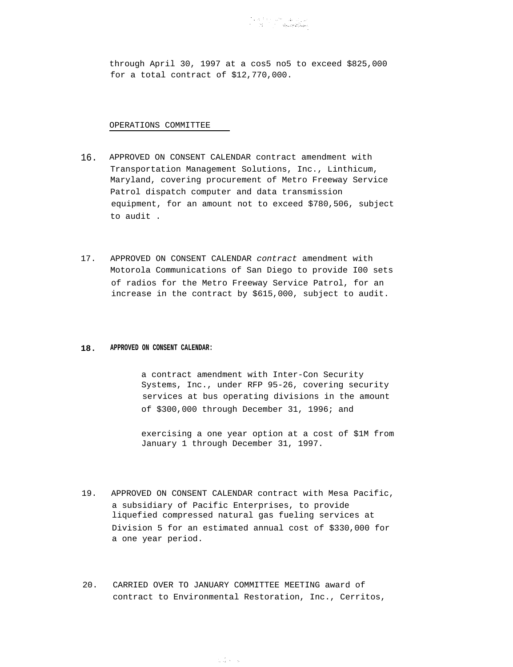through April 30, 1997 at a cos5 no5 to exceed \$825,000 for a total contract of \$12,770,000.

OPERATIONS COMMITTEE

- 16. APPROVED ON CONSENT CALENDAR contract amendment with Transportation Management Solutions, Inc., Linthicum, Maryland, covering procurement of Metro Freeway Service Patrol dispatch computer and data transmission equipment, for an amount not to exceed \$780,506, subject to audit .
- 17. APPROVED ON CONSENT CALENDAR contract amendment with Motorola Communications of San Diego to provide I00 sets of radios for the Metro Freeway Service Patrol, for an increase in the contract by \$615,000, subject to audit.

#### **18. APPROVED ON CONSENT CALENDAR:**

a contract amendment with Inter-Con Security Systems, Inc., under RFP 95-26, covering security services at bus operating divisions in the amount of \$300,000 through December 31, 1996; and

exercising a one year option at a cost of \$1M from January 1 through December 31, 1997.

- 19. APPROVED ON CONSENT CALENDAR contract with Mesa Pacific, a subsidiary of Pacific Enterprises, to provide liquefied compressed natural gas fueling services at Division 5 for an estimated annual cost of \$330,000 for a one year period.
- 20. CARRIED OVER TO JANUARY COMMITTEE MEETING award of contract to Environmental Restoration, Inc., Cerritos,

tria se s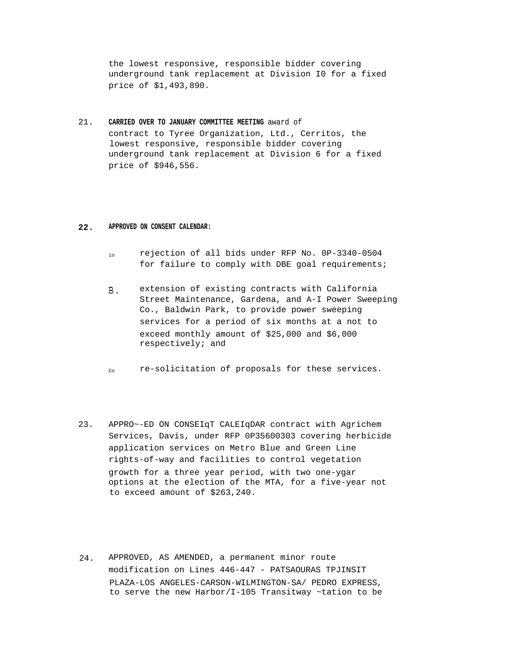the lowest responsive, responsible bidder covering underground tank replacement at Division I0 for a fixed price of \$1,493,890.

21. **CARRIED OVER TO JANUARY COMMITTEE MEETING** award of contract to Tyree Organization, Ltd., Cerritos, the lowest responsive, responsible bidder covering underground tank replacement at Division 6 for a fixed price of \$946,556.

#### **22. APPROVED ON CONSENT CALENDAR:**

- io rejection of all bids under RFP No. 0P-3340-0504 for failure to comply with DBE goal requirements;
- $B.$ extension of existing contracts with California Street Maintenance, Gardena, and A-I Power Sweeping Co., Baldwin Park, to provide power sweeping services for a period of six months at a not to exceed monthly amount of \$25,000 and \$6,000 respectively; and
- $C_{\Omega}$ re-solicitation of proposals for these services.
- 23. APPRO~-ED ON CONSEIqT CALEIqDAR contract with Agrichem Services, Davis, under RFP 0P35600303 covering herbicide application services on Metro Blue and Green Line rights-of-way and facilities to control vegetation growth for a three year period, with two one-ygar options at the election of the MTA, for a five-year not to exceed amount of \$263,240.
- 24. APPROVED, AS AMENDED, a permanent minor route modification on Lines 446-447 - PATSAOURAS TPJINSIT PLAZA-LOS ANGELES-CARSON-WILMINGTON-SA/ PEDRO EXPRESS, to serve the new Harbor/I-105 Transitway ~tation to be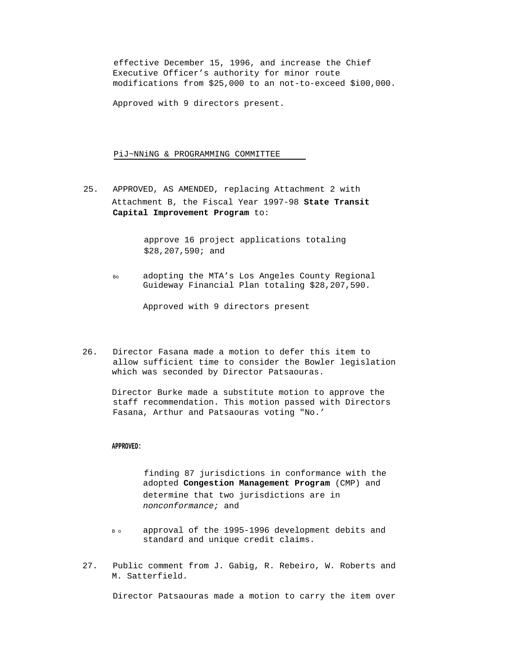effective December 15, 1996, and increase the Chief Executive Officer's authority for minor route modifications from \$25,000 to an not-to-exceed \$i00,000.

Approved with 9 directors present.

PiJ~NNiNG & PROGRAMMING COMMITTEE

25. APPROVED, AS AMENDED, replacing Attachment 2 with Attachment B, the Fiscal Year 1997-98 **State Transit Capital Improvement Program** to:

> approve 16 project applications totaling \$28,207,590; and

 $B<sub>0</sub>$ adopting the MTA's Los Angeles County Regional Guideway Financial Plan totaling \$28,207,590.

Approved with 9 directors present

26. Director Fasana made a motion to defer this item to allow sufficient time to consider the Bowler legislation which was seconded by Director Patsaouras.

Director Burke made a substitute motion to approve the staff recommendation. This motion passed with Directors Fasana, Arthur and Patsaouras voting "No.'

#### **APPROVED:**

finding 87 jurisdictions in conformance with the adopted **Congestion Management Program** (CMP) and determine that two jurisdictions are in nonconformance; and

- B o approval of the 1995-1996 development debits and standard and unique credit claims.
- 27. Public comment from J. Gabig, R. Rebeiro, W. Roberts and M. Satterfield.

Director Patsaouras made a motion to carry the item over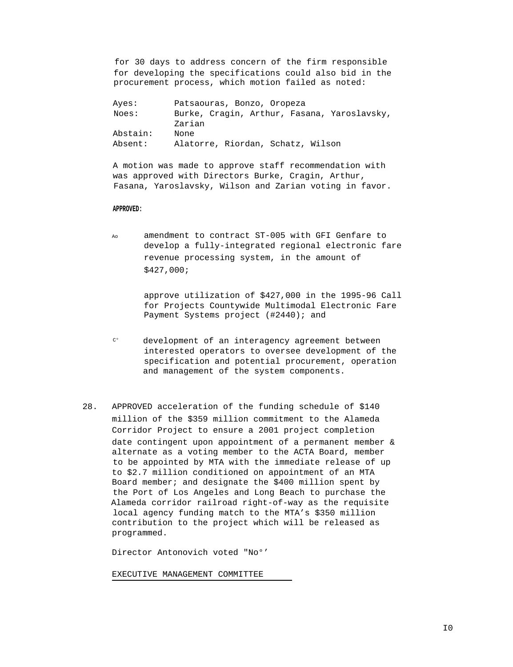for 30 days to address concern of the firm responsible for developing the specifications could also bid in the procurement process, which motion failed as noted:

| Ayes:    | Patsaouras, Bonzo, Oropeza                  |
|----------|---------------------------------------------|
| Noes:    | Burke, Cragin, Arthur, Fasana, Yaroslavsky, |
|          | Zarian                                      |
| Abstain: | None                                        |
| Absent:  | Alatorre, Riordan, Schatz, Wilson           |

A motion was made to approve staff recommendation with was approved with Directors Burke, Cragin, Arthur, Fasana, Yaroslavsky, Wilson and Zarian voting in favor.

#### **APPROVED:**

Ao amendment to contract ST-005 with GFI Genfare to develop a fully-integrated regional electronic fare revenue processing system, in the amount of \$427,000;

> approve utilization of \$427,000 in the 1995-96 Call for Projects Countywide Multimodal Electronic Fare Payment Systems project (#2440); and

- C° development of an interagency agreement between interested operators to oversee development of the specification and potential procurement, operation and management of the system components.
- 28. APPROVED acceleration of the funding schedule of \$140 million of the \$359 million commitment to the Alameda Corridor Project to ensure a 2001 project completion date contingent upon appointment of a permanent member & alternate as a voting member to the ACTA Board, member to be appointed by MTA with the immediate release of up to \$2.7 million conditioned on appointment of an MTA Board member; and designate the \$400 million spent by the Port of Los Angeles and Long Beach to purchase the Alameda corridor railroad right-of-way as the requisite local agency funding match to the MTA's \$350 million contribution to the project which will be released as programmed.

Director Antonovich voted "No°'

EXECUTIVE MANAGEMENT COMMITTEE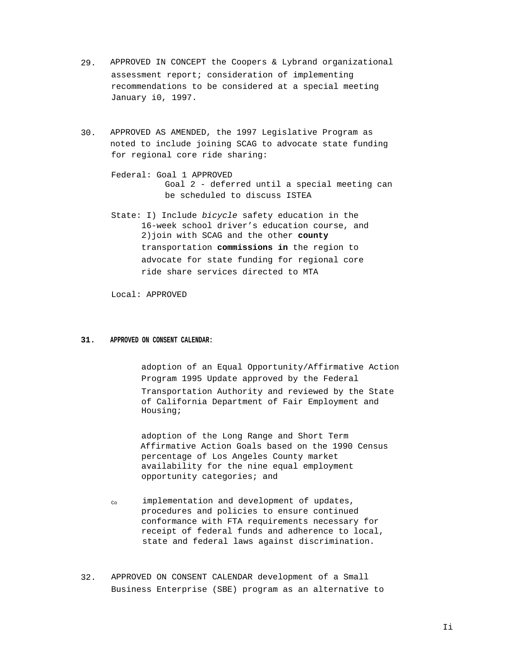- 29. APPROVED IN CONCEPT the Coopers & Lybrand organizational assessment report; consideration of implementing recommendations to be considered at a special meeting January i0, 1997.
- 30. APPROVED AS AMENDED, the 1997 Legislative Program as noted to include joining SCAG to advocate state funding for regional core ride sharing:
	- Federal: Goal 1 APPROVED Goal 2 - deferred until a special meeting can be scheduled to discuss ISTEA
	- State: I) Include bicycle safety education in the 16-week school driver's education course, and 2)join with SCAG and the other **county** transportation **commissions in** the region to advocate for state funding for regional core ride share services directed to MTA

Local: APPROVED

#### **31. APPROVED ON CONSENT CALENDAR:**

adoption of an Equal Opportunity/Affirmative Action Program 1995 Update approved by the Federal Transportation Authority and reviewed by the State of California Department of Fair Employment and Housing;

adoption of the Long Range and Short Term Affirmative Action Goals based on the 1990 Census percentage of Los Angeles County market availability for the nine equal employment opportunity categories; and

- Co implementation and development of updates, procedures and policies to ensure continued conformance with FTA requirements necessary for receipt of federal funds and adherence to local, state and federal laws against discrimination.
- 32. APPROVED ON CONSENT CALENDAR development of a Small Business Enterprise (SBE) program as an alternative to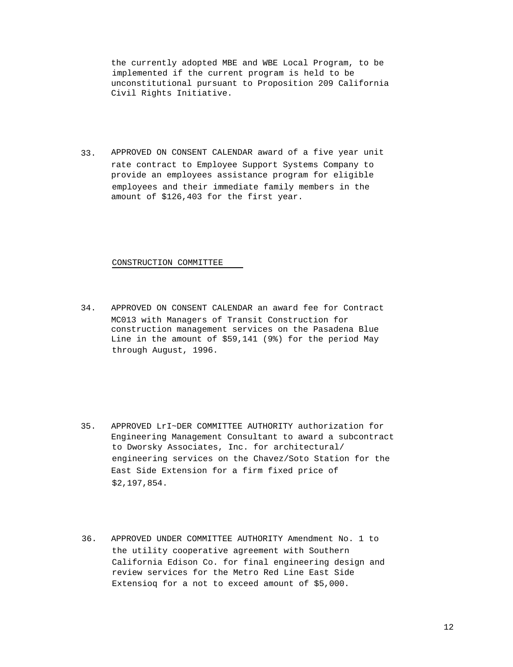the currently adopted MBE and WBE Local Program, to be implemented if the current program is held to be unconstitutional pursuant to Proposition 209 California Civil Rights Initiative.

33. APPROVED ON CONSENT CALENDAR award of a five year unit rate contract to Employee Support Systems Company to provide an employees assistance program for eligible employees and their immediate family members in the amount of \$126,403 for the first year.

CONSTRUCTION COMMITTEE

34. APPROVED ON CONSENT CALENDAR an award fee for Contract MC013 with Managers of Transit Construction for construction management services on the Pasadena Blue Line in the amount of \$59,141 (9%) for the period May through August, 1996.

- 35. APPROVED LrI~DER COMMITTEE AUTHORITY authorization for Engineering Management Consultant to award a subcontract to Dworsky Associates, Inc. for architectural/ engineering services on the Chavez/Soto Station for the East Side Extension for a firm fixed price of \$2,197,854.
- 36. APPROVED UNDER COMMITTEE AUTHORITY Amendment No. 1 to the utility cooperative agreement with Southern California Edison Co. for final engineering design and review services for the Metro Red Line East Side Extensioq for a not to exceed amount of \$5,000.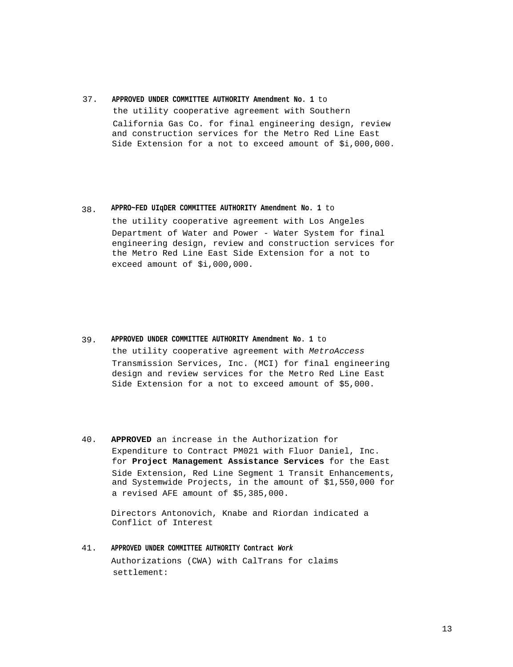#### 37. **APPROVED UNDER COMMITTEE AUTHORITY Amendment No. 1** to

the utility cooperative agreement with Southern California Gas Co. for final engineering design, review and construction services for the Metro Red Line East Side Extension for a not to exceed amount of \$i,000,000.

### 38. **APPRO~FED UIqDER COMMITTEE AUTHORITY Amendment No. 1** to

the utility cooperative agreement with Los Angeles Department of Water and Power - Water System for final engineering design, review and construction services for the Metro Red Line East Side Extension for a not to exceed amount of \$i,000,000.

### 39. **APPROVED UNDER COMMITTEE AUTHORITY Amendment No. 1** to the utility cooperative agreement with MetroAccess Transmission Services, Inc. (MCI) for final engineering design and review services for the Metro Red Line East

- Side Extension for a not to exceed amount of \$5,000.
- 40. **APPROVED** an increase in the Authorization for Expenditure to Contract PM021 with Fluor Daniel, Inc. for **Project Management Assistance Services** for the East Side Extension, Red Line Segment 1 Transit Enhancements, and Systemwide Projects, in the amount of \$1,550,000 for a revised AFE amount of \$5,385,000.

Directors Antonovich, Knabe and Riordan indicated a Conflict of Interest

41. **APPROVED UNDER COMMITTEE AUTHORITY Contract Work** Authorizations (CWA) with CalTrans for claims settlement: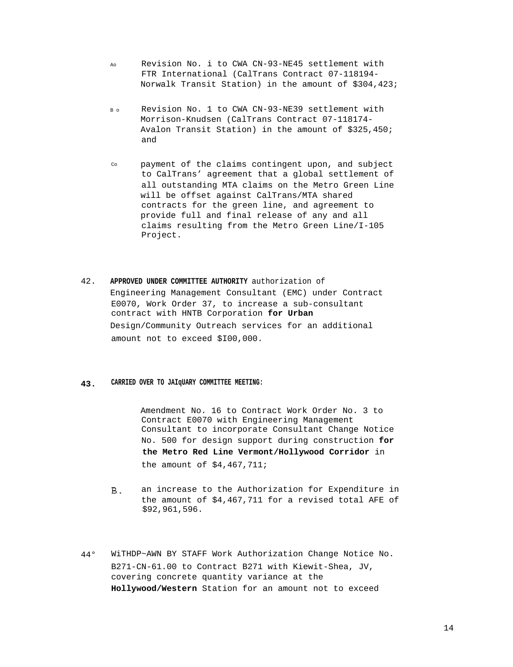- Ao Revision No. i to CWA CN-93-NE45 settlement with FTR International (CalTrans Contract 07-118194- Norwalk Transit Station) in the amount of \$304,423;
- B o Revision No. 1 to CWA CN-93-NE39 settlement with Morrison-Knudsen (CalTrans Contract 07-118174- Avalon Transit Station) in the amount of \$325,450; and
- Co payment of the claims contingent upon, and subject to CalTrans' agreement that a global settlement of all outstanding MTA claims on the Metro Green Line will be offset against CalTrans/MTA shared contracts for the green line, and agreement to provide full and final release of any and all claims resulting from the Metro Green Line/I-105 Project.
- 42. **APPROVED UNDER COMMITTEE AUTHORITY** authorization of Engineering Management Consultant (EMC) under Contract E0070, Work Order 37, to increase a sub-consultant contract with HNTB Corporation **for Urban** Design/Community Outreach services for an additional amount not to exceed \$I00,000.

#### **43. CARRIED OVER TO JAIqUARY COMMITTEE MEETING:**

Amendment No. 16 to Contract Work Order No. 3 to Contract E0070 with Engineering Management Consultant to incorporate Consultant Change Notice No. 500 for design support during construction **for the Metro Red Line Vermont/Hollywood Corridor** in the amount of \$4,467,711;

- an increase to the Authorization for Expenditure in Β. the amount of \$4,467,711 for a revised total AFE of \$92,961,596.
- 44° WiTHDP~AWN BY STAFF Work Authorization Change Notice No. B271-CN-61.00 to Contract B271 with Kiewit-Shea, JV, covering concrete quantity variance at the **Hollywood/Western** Station for an amount not to exceed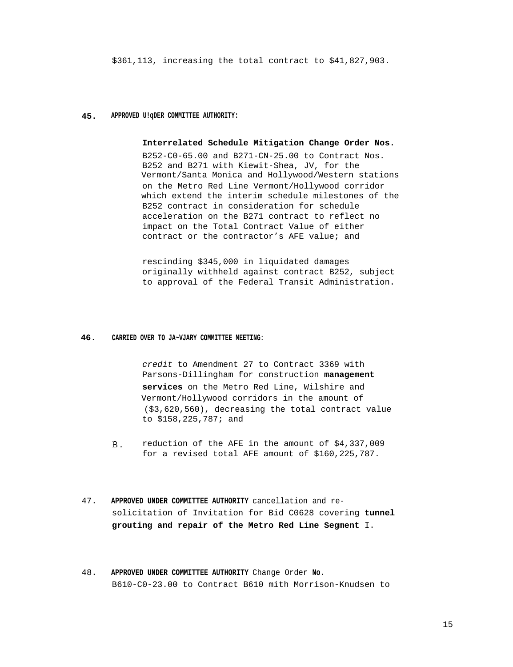\$361,113, increasing the total contract to \$41,827,903.

#### **45. APPROVED U!qDER COMMITTEE AUTHORITY:**

#### **Interrelated Schedule Mitigation Change Order Nos.**

B252-C0-65.00 and B271-CN-25.00 to Contract Nos. B252 and B271 with Kiewit-Shea, JV, for the Vermont/Santa Monica and Hollywood/Western stations on the Metro Red Line Vermont/Hollywood corridor which extend the interim schedule milestones of the B252 contract in consideration for schedule acceleration on the B271 contract to reflect no impact on the Total Contract Value of either contract or the contractor's AFE value; and

rescinding \$345,000 in liquidated damages originally withheld against contract B252, subject to approval of the Federal Transit Administration.

#### **46. CARRIED OVER TO JA~VJARY COMMITTEE MEETING:**

credit to Amendment 27 to Contract 3369 with Parsons-Dillingham for construction **management services** on the Metro Red Line, Wilshire and Vermont/Hollywood corridors in the amount of (\$3,620,560), decreasing the total contract value to \$158,225,787; and

- $B$ . reduction of the AFE in the amount of \$4,337,009 for a revised total AFE amount of \$160,225,787.
- 47. **APPROVED UNDER COMMITTEE AUTHORITY** cancellation and resolicitation of Invitation for Bid C0628 covering **tunnel grouting and repair of the Metro Red Line Segment** I.
- 48. **APPROVED UNDER COMMITTEE AUTHORITY** Change Order **No.** B610-C0-23.00 to Contract B610 mith Morrison-Knudsen to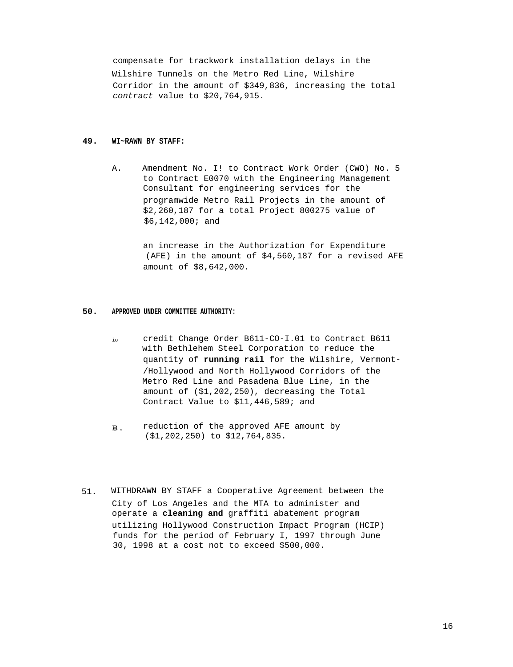compensate for trackwork installation delays in the Wilshire Tunnels on the Metro Red Line, Wilshire Corridor in the amount of \$349,836, increasing the total contract value to \$20,764,915.

#### **49. WI~RAWN BY STAFF:**

A. Amendment No. I! to Contract Work Order (CWO) No. 5 to Contract E0070 with the Engineering Management Consultant for engineering services for the programwide Metro Rail Projects in the amount of \$2,260,187 for a total Project 800275 value of \$6,142,000; and

> an increase in the Authorization for Expenditure (AFE) in the amount of \$4,560,187 for a revised AFE amount of \$8,642,000.

#### **50. APPROVED UNDER COMMITTEE AUTHORITY:**

- io credit Change Order B611-CO-I.01 to Contract B611 with Bethlehem Steel Corporation to reduce the quantity of **running rail** for the Wilshire, Vermont- /Hollywood and North Hollywood Corridors of the Metro Red Line and Pasadena Blue Line, in the amount of (\$1,202,250), decreasing the Total Contract Value to \$11,446,589; and
- reduction of the approved AFE amount by **B**. (\$1,202,250) to \$12,764,835.
- 51. WITHDRAWN BY STAFF a Cooperative Agreement between the City of Los Angeles and the MTA to administer and operate a **cleaning and** graffiti abatement program utilizing Hollywood Construction Impact Program (HCIP) funds for the period of February I, 1997 through June 30, 1998 at a cost not to exceed \$500,000.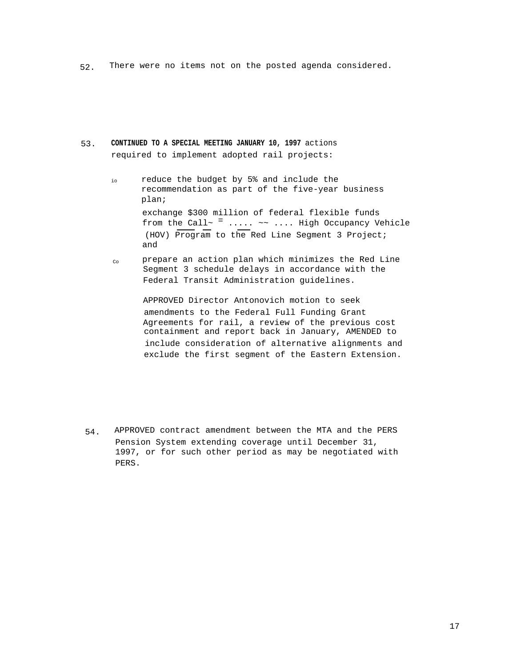52. There were no items not on the posted agenda considered.

### 53. **CONTINUED TO A SPECIAL MEETING JANUARY 10, 1997** actions required to implement adopted rail projects:

- io reduce the budget by 5% and include the recommendation as part of the five-year business plan; exchange \$300 million of federal flexible funds from the Call~  $=$  ..... ~~ .... High Occupancy Vehicle (HOV) Program to the Red Line Segment 3 Project; and
- Co prepare an action plan which minimizes the Red Line Segment 3 schedule delays in accordance with the Federal Transit Administration guidelines.

APPROVED Director Antonovich motion to seek amendments to the Federal Full Funding Grant Agreements for rail, a review of the previous cost containment and report back in January, AMENDED to include consideration of alternative alignments and exclude the first segment of the Eastern Extension.

54. APPROVED contract amendment between the MTA and the PERS Pension System extending coverage until December 31, 1997, or for such other period as may be negotiated with PERS.